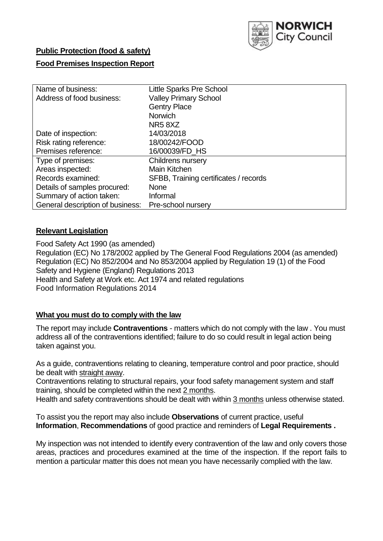

# **Public Protection (food & safety)**

# **Food Premises Inspection Report**

| Name of business:                | <b>Little Sparks Pre School</b>       |
|----------------------------------|---------------------------------------|
| Address of food business:        | <b>Valley Primary School</b>          |
|                                  | <b>Gentry Place</b>                   |
|                                  | <b>Norwich</b>                        |
|                                  | NR <sub>5</sub> 8X <sub>Z</sub>       |
| Date of inspection:              | 14/03/2018                            |
| Risk rating reference:           | 18/00242/FOOD                         |
| Premises reference:              | 16/00039/FD_HS                        |
| Type of premises:                | Childrens nursery                     |
| Areas inspected:                 | Main Kitchen                          |
| Records examined:                | SFBB, Training certificates / records |
| Details of samples procured:     | <b>None</b>                           |
| Summary of action taken:         | Informal                              |
| General description of business: | Pre-school nursery                    |

# **Relevant Legislation**

Food Safety Act 1990 (as amended) Regulation (EC) No 178/2002 applied by The General Food Regulations 2004 (as amended) Regulation (EC) No 852/2004 and No 853/2004 applied by Regulation 19 (1) of the Food Safety and Hygiene (England) Regulations 2013 Health and Safety at Work etc. Act 1974 and related regulations Food Information Regulations 2014

# **What you must do to comply with the law**

The report may include **Contraventions** - matters which do not comply with the law . You must address all of the contraventions identified; failure to do so could result in legal action being taken against you.

As a guide, contraventions relating to cleaning, temperature control and poor practice, should be dealt with straight away.

Contraventions relating to structural repairs, your food safety management system and staff training, should be completed within the next 2 months.

Health and safety contraventions should be dealt with within 3 months unless otherwise stated.

To assist you the report may also include **Observations** of current practice, useful **Information**, **Recommendations** of good practice and reminders of **Legal Requirements .**

My inspection was not intended to identify every contravention of the law and only covers those areas, practices and procedures examined at the time of the inspection. If the report fails to mention a particular matter this does not mean you have necessarily complied with the law.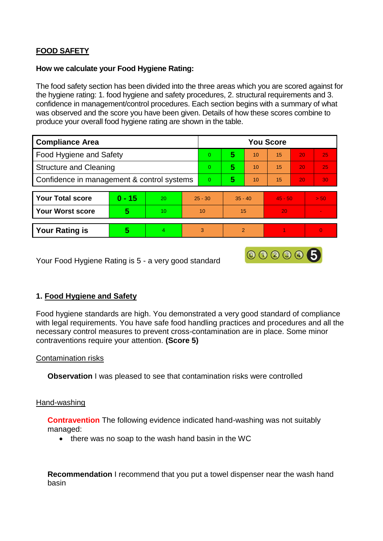# **FOOD SAFETY**

#### **How we calculate your Food Hygiene Rating:**

The food safety section has been divided into the three areas which you are scored against for the hygiene rating: 1. food hygiene and safety procedures, 2. structural requirements and 3. confidence in management/control procedures. Each section begins with a summary of what was observed and the score you have been given. Details of how these scores combine to produce your overall food hygiene rating are shown in the table.

| <b>Compliance Area</b>                     |          |    |                | <b>You Score</b> |                |           |    |           |          |  |  |
|--------------------------------------------|----------|----|----------------|------------------|----------------|-----------|----|-----------|----------|--|--|
| Food Hygiene and Safety                    |          |    |                | $\Omega$         | 5              | 10        | 15 | 20        | 25       |  |  |
| <b>Structure and Cleaning</b>              |          |    | $\Omega$       | 5                | 10             | 15        | 20 | 25        |          |  |  |
| Confidence in management & control systems |          |    | $\overline{0}$ | 5                | 10             | 15        | 20 | 30        |          |  |  |
|                                            |          |    |                |                  |                |           |    |           |          |  |  |
| <b>Your Total score</b>                    | $0 - 15$ | 20 |                | $25 - 30$        |                | $35 - 40$ |    | $45 - 50$ | > 50     |  |  |
| <b>Your Worst score</b>                    | 5        | 10 |                | 10               |                | 15        | 20 |           |          |  |  |
|                                            |          |    |                |                  |                |           |    |           |          |  |  |
| <b>Your Rating is</b>                      | 5        | 4  | 3              |                  | $\overline{2}$ |           |    |           | $\Omega$ |  |  |

Your Food Hygiene Rating is 5 - a very good standard

# **1. Food Hygiene and Safety**

Food hygiene standards are high. You demonstrated a very good standard of compliance with legal requirements. You have safe food handling practices and procedures and all the necessary control measures to prevent cross-contamination are in place. Some minor contraventions require your attention. **(Score 5)**

000005

# Contamination risks

**Observation** I was pleased to see that contamination risks were controlled

# Hand-washing

**Contravention** The following evidence indicated hand-washing was not suitably managed:

• there was no soap to the wash hand basin in the WC

**Recommendation** I recommend that you put a towel dispenser near the wash hand basin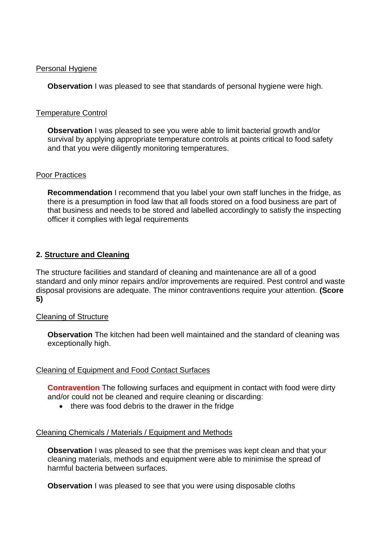#### Personal Hygiene

**Observation** I was pleased to see that standards of personal hygiene were high.

# Temperature Control

**Observation** I was pleased to see you were able to limit bacterial growth and/or survival by applying appropriate temperature controls at points critical to food safety and that you were diligently monitoring temperatures.

#### Poor Practices

**Recommendation** I recommend that you label your own staff lunches in the fridge, as there is a presumption in food law that all foods stored on a food business are part of that business and needs to be stored and labelled accordingly to satisfy the inspecting officer it complies with legal requirements

# **2. Structure and Cleaning**

The structure facilities and standard of cleaning and maintenance are all of a good standard and only minor repairs and/or improvements are required. Pest control and waste disposal provisions are adequate. The minor contraventions require your attention. **(Score 5)**

# Cleaning of Structure

**Observation** The kitchen had been well maintained and the standard of cleaning was exceptionally high.

# Cleaning of Equipment and Food Contact Surfaces

**Contravention** The following surfaces and equipment in contact with food were dirty and/or could not be cleaned and require cleaning or discarding:

• there was food debris to the drawer in the fridge

# Cleaning Chemicals / Materials / Equipment and Methods

**Observation** I was pleased to see that the premises was kept clean and that your cleaning materials, methods and equipment were able to minimise the spread of harmful bacteria between surfaces.

**Observation** I was pleased to see that you were using disposable cloths